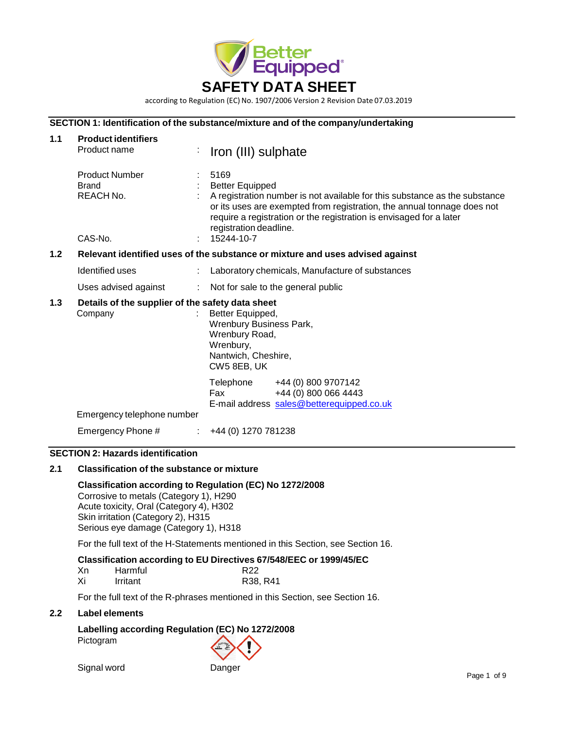

according to Regulation (EC) No. 1907/2006 Version 2 Revision Date 07.03.2019

## **SECTION 1: Identification of the substance/mixture and of the company/undertaking**

| 1.1 | <b>Product identifiers</b><br>Product name                    |                | Iron (III) sulphate                                                                                                                                                                                                                                                                                    |
|-----|---------------------------------------------------------------|----------------|--------------------------------------------------------------------------------------------------------------------------------------------------------------------------------------------------------------------------------------------------------------------------------------------------------|
|     | <b>Product Number</b><br><b>Brand</b><br>REACH No.<br>CAS-No. | ÷.             | 5169<br><b>Better Equipped</b><br>A registration number is not available for this substance as the substance<br>or its uses are exempted from registration, the annual tonnage does not<br>require a registration or the registration is envisaged for a later<br>registration deadline.<br>15244-10-7 |
| 1.2 |                                                               |                | Relevant identified uses of the substance or mixture and uses advised against                                                                                                                                                                                                                          |
|     | Identified uses                                               | ÷.             | Laboratory chemicals, Manufacture of substances                                                                                                                                                                                                                                                        |
|     | Uses advised against                                          | $\mathbb{R}^n$ | Not for sale to the general public                                                                                                                                                                                                                                                                     |
| 1.3 | Details of the supplier of the safety data sheet<br>Company   |                | Better Equipped,<br>Wrenbury Business Park,<br>Wrenbury Road,<br>Wrenbury,<br>Nantwich, Cheshire,<br>CW5 8EB, UK                                                                                                                                                                                       |
|     | Emergency telephone number                                    |                | Telephone +44 (0) 800 9707142<br>+44 (0) 800 066 4443<br>Fax<br>E-mail address sales@betterequipped.co.uk                                                                                                                                                                                              |
|     | Emergency Phone #                                             | ÷              | +44 (0) 1270 781238                                                                                                                                                                                                                                                                                    |

## **SECTION 2: Hazards identification**

## **2.1 Classification of the substance or mixture**

## **Classification according to Regulation (EC) No 1272/2008**

Corrosive to metals (Category 1), H290 Acute toxicity, Oral (Category 4), H302 Skin irritation (Category 2), H315 Serious eye damage (Category 1), H318

For the full text of the H-Statements mentioned in this Section, see Section 16.

### **Classification according to EU Directives 67/548/EEC or 1999/45/EC**

| Xn | Harmful  | R <sub>22</sub> |
|----|----------|-----------------|
| Xi | Irritant | R38, R41        |

For the full text of the R-phrases mentioned in this Section, see Section 16.

#### **2.2 Label elements**

# **Labelling according Regulation (EC) No 1272/2008** Pictogram

Signal word Danger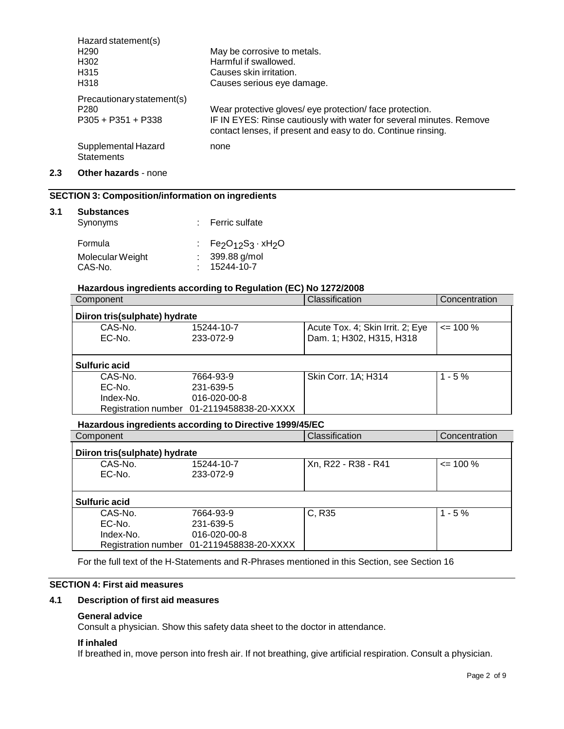| Hazard statement(s)                      |                                                                                                                                     |
|------------------------------------------|-------------------------------------------------------------------------------------------------------------------------------------|
| H <sub>290</sub>                         | May be corrosive to metals.                                                                                                         |
| H302                                     | Harmful if swallowed.                                                                                                               |
| H315                                     | Causes skin irritation.                                                                                                             |
| H318                                     | Causes serious eye damage.                                                                                                          |
| Precautionary statement(s)               |                                                                                                                                     |
| P <sub>280</sub>                         | Wear protective gloves/ eye protection/face protection.                                                                             |
| $P305 + P351 + P338$                     | IF IN EYES: Rinse cautiously with water for several minutes. Remove<br>contact lenses, if present and easy to do. Continue rinsing. |
| Supplemental Hazard<br><b>Statements</b> | none                                                                                                                                |

## **2.3 Other hazards** - none

# **SECTION 3: Composition/information on ingredients**

## **3.1 Substances**

| Synonyms         | : Ferric sulfate    |
|------------------|---------------------|
| Formula          | : $Fe2O12S3 · xH2O$ |
| Molecular Weight | 399.88 g/mol        |
| CAS-No.          | 15244-10-7          |

### **Hazardous ingredients according to Regulation (EC) No 1272/2008**

| Component                     |                                           | Classification                   | Concentration |  |  |
|-------------------------------|-------------------------------------------|----------------------------------|---------------|--|--|
| Diiron tris(sulphate) hydrate |                                           |                                  |               |  |  |
| CAS-No.                       | 15244-10-7                                | Acute Tox. 4; Skin Irrit. 2; Eye | $\leq$ 100 %  |  |  |
| EC-No.                        | 233-072-9                                 | Dam. 1; H302, H315, H318         |               |  |  |
|                               |                                           |                                  |               |  |  |
| <b>Sulfuric acid</b>          |                                           |                                  |               |  |  |
| CAS-No.                       | 7664-93-9                                 | Skin Corr. 1A; H314              | $1 - 5%$      |  |  |
| EC-No.                        | 231-639-5                                 |                                  |               |  |  |
| Index-No.                     | $016 - 020 - 00 - 8$                      |                                  |               |  |  |
|                               | Registration number 01-2119458838-20-XXXX |                                  |               |  |  |

## **Hazardous ingredients according to Directive 1999/45/EC**

| Component                     |                                           | Classification      | Concentration |  |  |
|-------------------------------|-------------------------------------------|---------------------|---------------|--|--|
| Diiron tris(sulphate) hydrate |                                           |                     |               |  |  |
| CAS-No.                       | 15244-10-7                                | Xn, R22 - R38 - R41 | $\leq$ 100 %  |  |  |
| EC-No.                        | 233-072-9                                 |                     |               |  |  |
|                               |                                           |                     |               |  |  |
| <b>Sulfuric acid</b>          |                                           |                     |               |  |  |
| CAS-No.                       | 7664-93-9                                 | C, R35              | $1 - 5%$      |  |  |
| EC-No.                        | 231-639-5                                 |                     |               |  |  |
| Index-No.                     | 016-020-00-8                              |                     |               |  |  |
|                               | Registration number 01-2119458838-20-XXXX |                     |               |  |  |

For the full text of the H-Statements and R-Phrases mentioned in this Section, see Section 16

# **SECTION 4: First aid measures**

#### **4.1 Description of first aid measures**

## **General advice**

Consult a physician. Show this safety data sheet to the doctor in attendance.

## **If inhaled**

If breathed in, move person into fresh air. If not breathing, give artificial respiration. Consult a physician.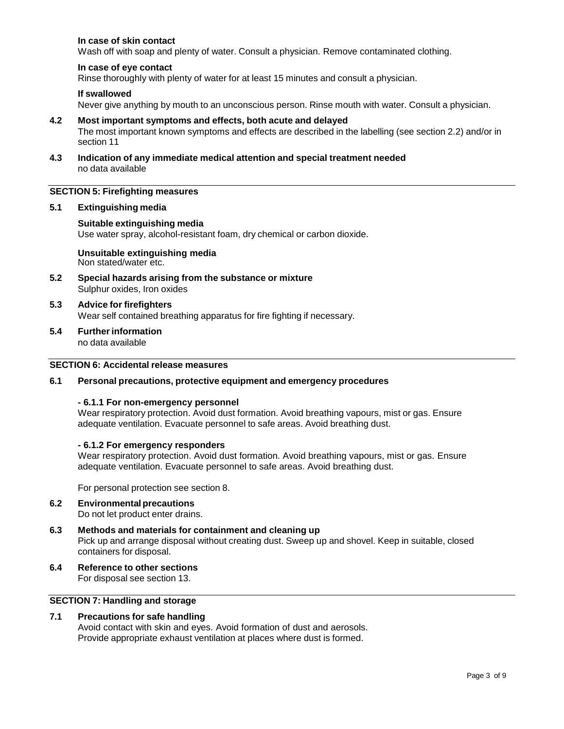## **In case of skin contact**

Wash off with soap and plenty of water. Consult a physician. Remove contaminated clothing.

#### **In case of eye contact**

Rinse thoroughly with plenty of water for at least 15 minutes and consult a physician.

#### **If swallowed**

Never give anything by mouth to an unconscious person. Rinse mouth with water. Consult a physician.

#### **4.2 Most important symptoms and effects, both acute and delayed**

The most important known symptoms and effects are described in the labelling (see section 2.2) and/or in section 11

**4.3 Indication of any immediate medical attention and special treatment needed** no data available

## **SECTION 5: Firefighting measures**

#### **5.1 Extinguishing media**

#### **Suitable extinguishing media**

Use water spray, alcohol-resistant foam, dry chemical or carbon dioxide.

**Unsuitable extinguishing media** Non stated/water etc.

- **5.2 Special hazards arising from the substance or mixture** Sulphur oxides, Iron oxides
- **5.3 Advice for firefighters** Wear self contained breathing apparatus for fire fighting if necessary.
- **5.4 Furtherinformation** no data available

## **SECTION 6: Accidental release measures**

#### **6.1 Personal precautions, protective equipment and emergency procedures**

#### **- 6.1.1 For non-emergency personnel**

Wear respiratory protection. Avoid dust formation. Avoid breathing vapours, mist or gas. Ensure adequate ventilation. Evacuate personnel to safe areas. Avoid breathing dust.

#### **- 6.1.2 For emergency responders**

Wear respiratory protection. Avoid dust formation. Avoid breathing vapours, mist or gas. Ensure adequate ventilation. Evacuate personnel to safe areas. Avoid breathing dust.

For personal protection see section 8.

- **6.2 Environmentalprecautions** Do not let product enter drains.
- **6.3 Methods and materials for containment and cleaning up** Pick up and arrange disposal without creating dust. Sweep up and shovel. Keep in suitable, closed containers for disposal.
- **6.4 Reference to other sections**

For disposal see section 13.

## **SECTION 7: Handling and storage**

## **7.1 Precautions for safe handling**

Avoid contact with skin and eyes. Avoid formation of dust and aerosols. Provide appropriate exhaust ventilation at places where dust is formed.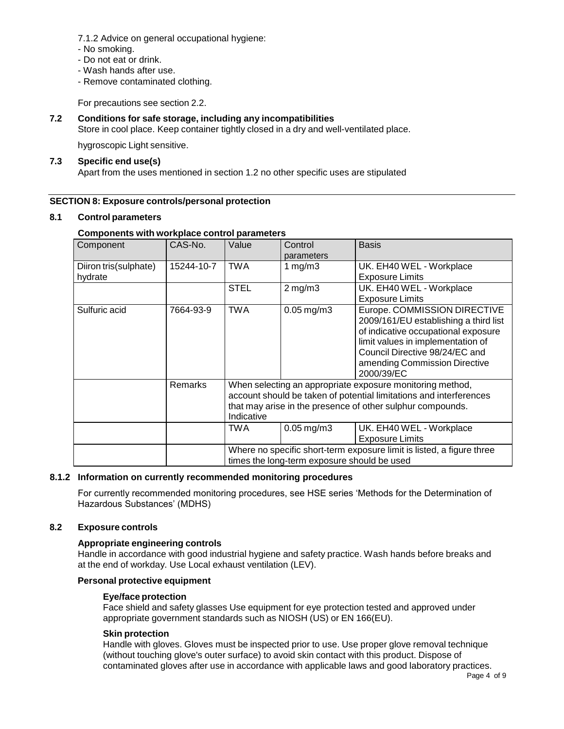- 7.1.2 Advice on general occupational hygiene:
- No smoking.
- Do not eat or drink.
- Wash hands after use.
- Remove contaminated clothing.

For precautions see section 2.2.

## **7.2 Conditions for safe storage, including any incompatibilities**

Store in cool place. Keep container tightly closed in a dry and well-ventilated place.

hygroscopic Light sensitive.

#### **7.3 Specific end use(s)**

Apart from the uses mentioned in section 1.2 no other specific uses are stipulated

## **SECTION 8: Exposure controls/personal protection**

#### **8.1 Control parameters**

#### **Components with workplace control parameters**

| Component                        | CAS-No.        | Value       | Control<br>parameters                       | <b>Basis</b>                                                                                                                                                                                                                       |
|----------------------------------|----------------|-------------|---------------------------------------------|------------------------------------------------------------------------------------------------------------------------------------------------------------------------------------------------------------------------------------|
| Diiron tris(sulphate)<br>hydrate | 15244-10-7     | <b>TWA</b>  | 1 mg/m $3$                                  | UK. EH40 WEL - Workplace<br><b>Exposure Limits</b>                                                                                                                                                                                 |
|                                  |                | <b>STEL</b> | $2$ mg/m $3$                                | UK. EH40 WEL - Workplace<br><b>Exposure Limits</b>                                                                                                                                                                                 |
| Sulfuric acid                    | 7664-93-9      | TWA         | $0.05$ mg/m $3$                             | Europe. COMMISSION DIRECTIVE<br>2009/161/EU establishing a third list<br>of indicative occupational exposure<br>limit values in implementation of<br>Council Directive 98/24/EC and<br>amending Commission Directive<br>2000/39/EC |
|                                  | <b>Remarks</b> | Indicative  |                                             | When selecting an appropriate exposure monitoring method,<br>account should be taken of potential limitations and interferences<br>that may arise in the presence of other sulphur compounds.                                      |
|                                  |                | TWA         | $0.05$ mg/m $3$                             | UK. EH40 WEL - Workplace<br><b>Exposure Limits</b>                                                                                                                                                                                 |
|                                  |                |             | times the long-term exposure should be used | Where no specific short-term exposure limit is listed, a figure three                                                                                                                                                              |

#### **8.1.2 Information on currently recommended monitoring procedures**

For currently recommended monitoring procedures, see HSE series 'Methods for the Determination of Hazardous Substances' (MDHS)

## **8.2 Exposure controls**

#### **Appropriate engineering controls**

Handle in accordance with good industrial hygiene and safety practice. Wash hands before breaks and at the end of workday. Use Local exhaust ventilation (LEV).

## **Personal protective equipment**

#### **Eye/face protection**

Face shield and safety glasses Use equipment for eye protection tested and approved under appropriate government standards such as NIOSH (US) or EN 166(EU).

#### **Skin protection**

Handle with gloves. Gloves must be inspected prior to use. Use proper glove removal technique (without touching glove's outer surface) to avoid skin contact with this product. Dispose of contaminated gloves after use in accordance with applicable laws and good laboratory practices.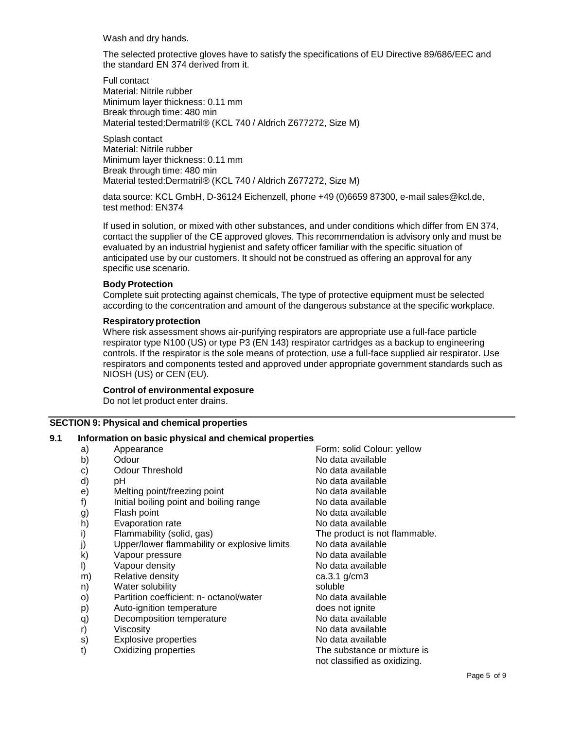Wash and dry hands.

The selected protective gloves have to satisfy the specifications of EU Directive 89/686/EEC and the standard EN 374 derived from it.

Full contact Material: Nitrile rubber Minimum layer thickness: 0.11 mm Break through time: 480 min Material tested:Dermatril® (KCL 740 / Aldrich Z677272, Size M)

Splash contact Material: Nitrile rubber Minimum layer thickness: 0.11 mm Break through time: 480 min Material tested:Dermatril® (KCL 740 / Aldrich Z677272, Size M)

data source: KCL GmbH, D-36124 Eichenzell, phone +49 (0)6659 87300, e-mail [sales@kcl.de,](mailto:sales@kcl.de) test method: EN374

If used in solution, or mixed with other substances, and under conditions which differ from EN 374, contact the supplier of the CE approved gloves. This recommendation is advisory only and must be evaluated by an industrial hygienist and safety officer familiar with the specific situation of anticipated use by our customers. It should not be construed as offering an approval for any specific use scenario.

#### **Body Protection**

Complete suit protecting against chemicals, The type of protective equipment must be selected according to the concentration and amount of the dangerous substance at the specific workplace.

## **Respiratoryprotection**

Where risk assessment shows air-purifying respirators are appropriate use a full-face particle respirator type N100 (US) or type P3 (EN 143) respirator cartridges as a backup to engineering controls. If the respirator is the sole means of protection, use a full-face supplied air respirator. Use respirators and components tested and approved under appropriate government standards such as NIOSH (US) or CEN (EU).

## **Control of environmental exposure**

Do not let product enter drains.

## **SECTION 9: Physical and chemical properties**

## **9.1 Information on basic physical and chemical properties**

a) Appearance **Form:** Solid Colour: yellow b) Odour No data available c) Odour Threshold Collection Controller Collection No data available d) pH  $\blacksquare$  pH  $\blacksquare$  pH  $\blacksquare$  and  $\blacksquare$  and  $\blacksquare$  and  $\blacksquare$  and  $\blacksquare$  and  $\blacksquare$  and  $\blacksquare$  and  $\blacksquare$  and  $\blacksquare$  and  $\blacksquare$  and  $\blacksquare$  and  $\blacksquare$  and  $\blacksquare$  and  $\blacksquare$  and  $\blacksquare$  and  $\blacksquare$  and  $\blacksquare$  and  $\blacksquare$  an e) Melting point/freezing point No data available f) Initial boiling point and boiling range No data available g) Flash point Contract Contract Contract Contract No data available h) Evaporation rate **No analyzis and Report Control** No data available i) Flammability (solid, gas) The product is not flammable. j) Upper/lower flammability or explosive limits No data available k) Vapour pressure No data available l) Vapour density No data available m) Relative density ca.3.1 g/cm3 n) Water solubility **Water Soluble** o) Partition coefficient: n- octanol/water No data available p) Auto-ignition temperature does not ignite q) Decomposition temperature No data available r) Viscosity **Viscosity** Viscosity **No data available** s) Explosive properties No data available t) Oxidizing properties The substance or mixture is not classified as oxidizing.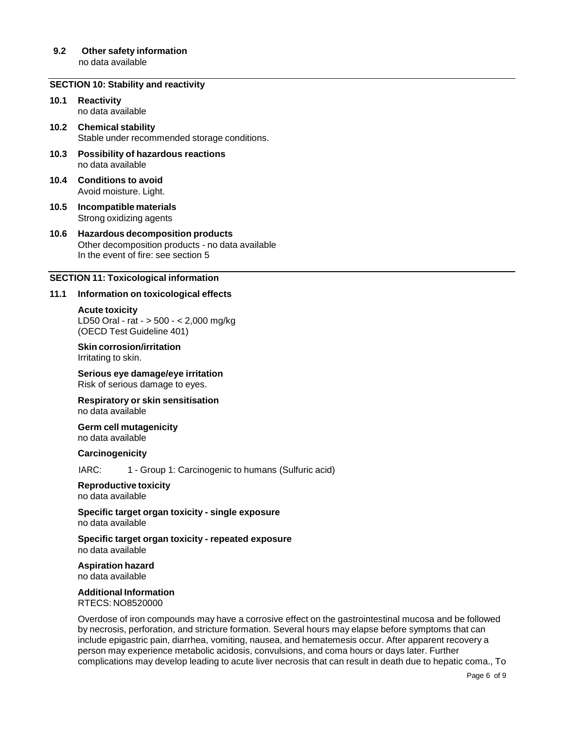#### **9.2 Other safety information** no data available

# **SECTION 10: Stability and reactivity**

- **10.1 Reactivity** no data available
- **10.2 Chemical stability** Stable under recommended storage conditions.
- **10.3 Possibility of hazardous reactions** no data available
- **10.4 Conditions to avoid** Avoid moisture. Light.
- **10.5 Incompatible materials** Strong oxidizing agents
- **10.6 Hazardous decomposition products** Other decomposition products - no data available In the event of fire: see section 5

#### **SECTION 11: Toxicological information**

#### **11.1 Information on toxicological effects**

**Acute toxicity** LD50 Oral - rat - > 500 - < 2,000 mg/kg (OECD Test Guideline 401)

**Skin corrosion/irritation** Irritating to skin.

**Serious eye damage/eye irritation** Risk of serious damage to eyes.

**Respiratory or skin sensitisation** no data available

**Germ cell mutagenicity** no data available

**Carcinogenicity**

IARC: 1 - Group 1: Carcinogenic to humans (Sulfuric acid)

**Reproductive toxicity** no data available

**Specific target organ toxicity - single exposure** no data available

**Specific target organ toxicity - repeated exposure** no data available

**Aspiration hazard** no data available

# **Additional Information**

RTECS: NO8520000

Overdose of iron compounds may have a corrosive effect on the gastrointestinal mucosa and be followed by necrosis, perforation, and stricture formation. Several hours may elapse before symptoms that can include epigastric pain, diarrhea, vomiting, nausea, and hematemesis occur. After apparent recovery a person may experience metabolic acidosis, convulsions, and coma hours or days later. Further complications may develop leading to acute liver necrosis that can result in death due to hepatic coma., To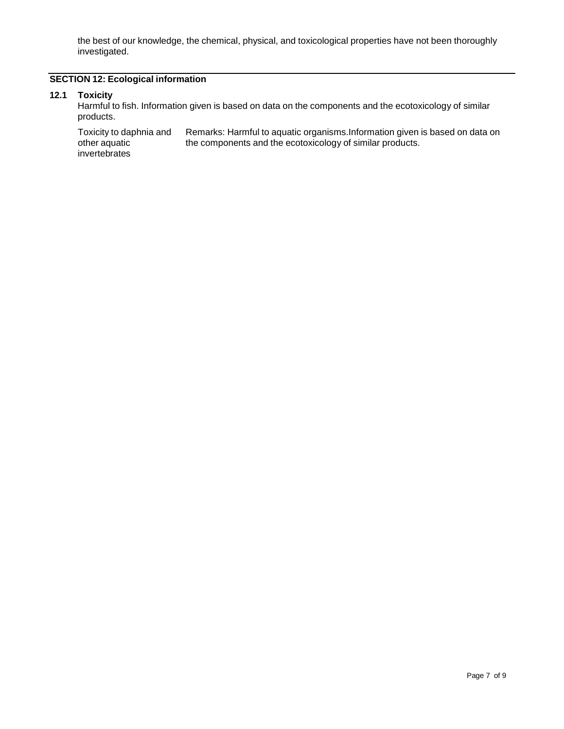the best of our knowledge, the chemical, physical, and toxicological properties have not been thoroughly investigated.

# **SECTION 12: Ecological information**

#### **12.1 Toxicity**

Harmful to fish. Information given is based on data on the components and the ecotoxicology of similar products.

Toxicity to daphnia and other aquatic invertebrates Remarks: Harmful to aquatic organisms.Information given is based on data on the components and the ecotoxicology of similar products.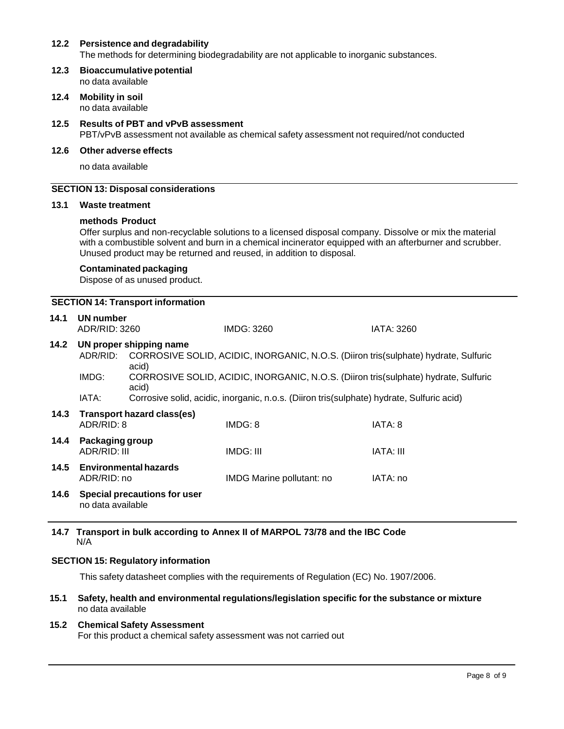## **12.2 Persistence and degradability**

The methods for determining biodegradability are not applicable to inorganic substances.

- **12.3 Bioaccumulativepotential** no data available
- **12.4 Mobility in soil** no data available

# **12.5 Results of PBT and vPvB assessment** PBT/vPvB assessment not available as chemical safety assessment not required/not conducted

#### **12.6 Other adverse effects**

no data available

### **SECTION 13: Disposal considerations**

#### **13.1 Waste treatment**

#### **methods Product**

Offer surplus and non-recyclable solutions to a licensed disposal company. Dissolve or mix the material with a combustible solvent and burn in a chemical incinerator equipped with an afterburner and scrubber. Unused product may be returned and reused, in addition to disposal.

## **Contaminated packaging**

Dispose of as unused product.

## **SECTION 14: Transport information**

| 14.1 | UN number<br>ADR/RID: 3260      |                                     | IMDG: 3260                                                                                | IATA: 3260 |
|------|---------------------------------|-------------------------------------|-------------------------------------------------------------------------------------------|------------|
| 14.2 |                                 | UN proper shipping name             |                                                                                           |            |
|      | ADR/RID:                        | acid)                               | CORROSIVE SOLID, ACIDIC, INORGANIC, N.O.S. (Diiron tris(sulphate) hydrate, Sulfuric       |            |
|      | IMDG:                           | acid)                               | CORROSIVE SOLID, ACIDIC, INORGANIC, N.O.S. (Diiron tris(sulphate) hydrate, Sulfuric       |            |
|      | IATA:                           |                                     | Corrosive solid, acidic, inorganic, n.o.s. (Diiron tris(sulphate) hydrate, Sulfuric acid) |            |
| 14.3 | ADR/RID: 8                      | <b>Transport hazard class(es)</b>   | IMDG: 8                                                                                   | IATA: 8    |
| 14.4 | Packaging group<br>ADR/RID: III |                                     | IMDG: III                                                                                 | IATA: III  |
| 14.5 | ADR/RID: no                     | <b>Environmental hazards</b>        | IMDG Marine pollutant: no                                                                 | IATA: no   |
| 14.6 | no data available               | <b>Special precautions for user</b> |                                                                                           |            |

#### **14.7 Transport in bulk according to Annex II of MARPOL 73/78 and the IBC Code** N/A

#### **SECTION 15: Regulatory information**

This safety datasheet complies with the requirements of Regulation (EC) No. 1907/2006.

**15.1 Safety, health and environmental regulations/legislation specific for the substance or mixture** no data available

## **15.2 Chemical Safety Assessment**

For this product a chemical safety assessment was not carried out